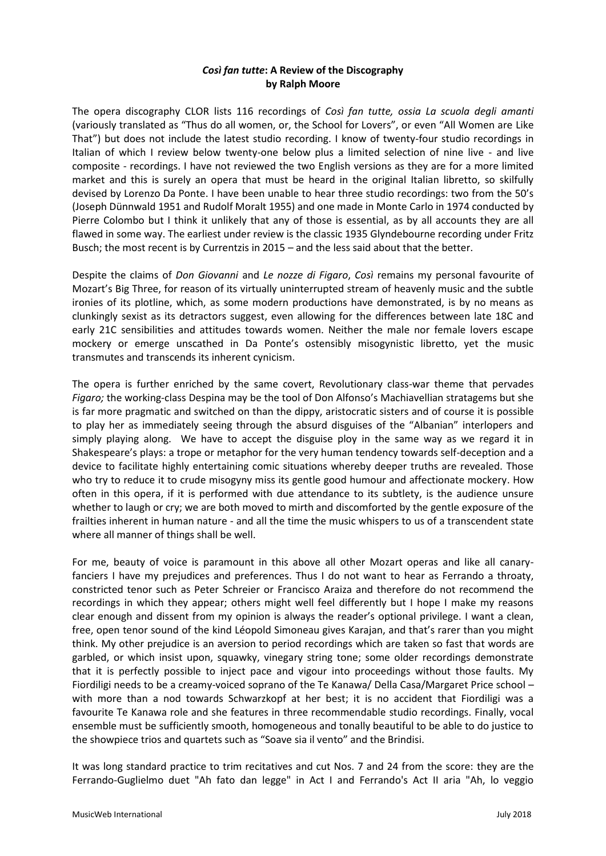# *Così fan tutte***: A Review of the Discography by Ralph Moore**

The opera discography CLOR lists 116 recordings of *Così fan tutte, ossia La scuola degli amanti*  (variously translated as "Thus do all women, or, the School for Lovers", or even "All Women are Like That") but does not include the latest studio recording. I know of twenty-four studio recordings in Italian of which I review below twenty-one below plus a limited selection of nine live - and live composite - recordings. I have not reviewed the two English versions as they are for a more limited market and this is surely an opera that must be heard in the original Italian libretto, so skilfully devised by Lorenzo Da Ponte. I have been unable to hear three studio recordings: two from the 50's (Joseph Dünnwald 1951 and Rudolf Moralt 1955) and one made in Monte Carlo in 1974 conducted by Pierre Colombo but I think it unlikely that any of those is essential, as by all accounts they are all flawed in some way. The earliest under review is the classic 1935 Glyndebourne recording under Fritz Busch; the most recent is by Currentzis in 2015 – and the less said about that the better.

Despite the claims of *Don Giovanni* and *Le nozze di Figaro*, *Così* remains my personal favourite of Mozart's Big Three, for reason of its virtually uninterrupted stream of heavenly music and the subtle ironies of its plotline, which, as some modern productions have demonstrated, is by no means as clunkingly sexist as its detractors suggest, even allowing for the differences between late 18C and early 21C sensibilities and attitudes towards women. Neither the male nor female lovers escape mockery or emerge unscathed in Da Ponte's ostensibly misogynistic libretto, yet the music transmutes and transcends its inherent cynicism.

The opera is further enriched by the same covert, Revolutionary class-war theme that pervades *Figaro;* the working-class Despina may be the tool of Don Alfonso's Machiavellian stratagems but she is far more pragmatic and switched on than the dippy, aristocratic sisters and of course it is possible to play her as immediately seeing through the absurd disguises of the "Albanian" interlopers and simply playing along. We have to accept the disguise ploy in the same way as we regard it in Shakespeare's plays: a trope or metaphor for the very human tendency towards self-deception and a device to facilitate highly entertaining comic situations whereby deeper truths are revealed. Those who try to reduce it to crude misogyny miss its gentle good humour and affectionate mockery. How often in this opera, if it is performed with due attendance to its subtlety, is the audience unsure whether to laugh or cry; we are both moved to mirth and discomforted by the gentle exposure of the frailties inherent in human nature - and all the time the music whispers to us of a transcendent state where all manner of things shall be well.

For me, beauty of voice is paramount in this above all other Mozart operas and like all canaryfanciers I have my prejudices and preferences. Thus I do not want to hear as Ferrando a throaty, constricted tenor such as Peter Schreier or Francisco Araiza and therefore do not recommend the recordings in which they appear; others might well feel differently but I hope I make my reasons clear enough and dissent from my opinion is always the reader's optional privilege. I want a clean, free, open tenor sound of the kind Léopold Simoneau gives Karajan, and that's rarer than you might think. My other prejudice is an aversion to period recordings which are taken so fast that words are garbled, or which insist upon, squawky, vinegary string tone; some older recordings demonstrate that it is perfectly possible to inject pace and vigour into proceedings without those faults. My Fiordiligi needs to be a creamy-voiced soprano of the Te Kanawa/ Della Casa/Margaret Price school – with more than a nod towards Schwarzkopf at her best; it is no accident that Fiordiligi was a favourite Te Kanawa role and she features in three recommendable studio recordings. Finally, vocal ensemble must be sufficiently smooth, homogeneous and tonally beautiful to be able to do justice to the showpiece trios and quartets such as "Soave sia il vento" and the Brindisi.

It was long standard practice to trim recitatives and cut Nos. 7 and 24 from the score: they are the Ferrando-Guglielmo duet "Ah fato dan legge" in Act I and Ferrando's Act II aria "Ah, lo veggio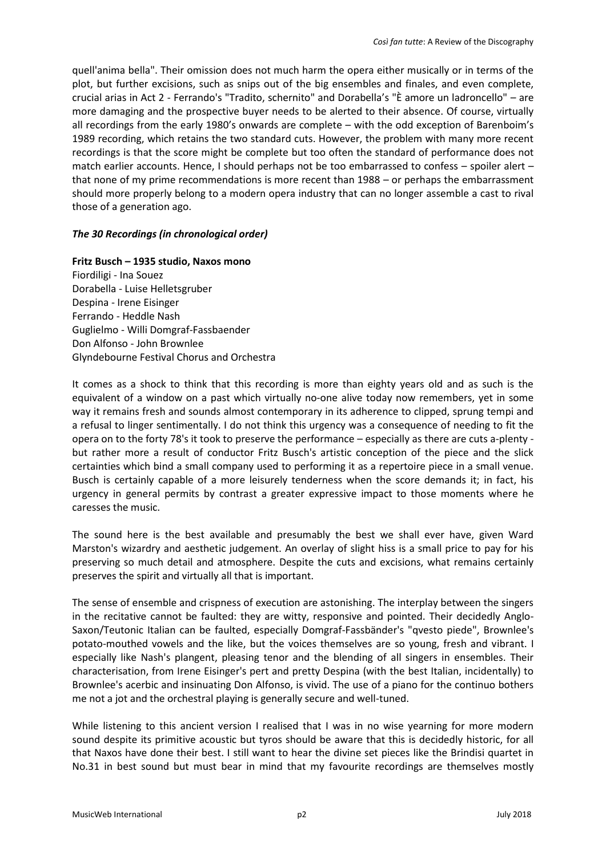quell'anima bella". Their omission does not much harm the opera either musically or in terms of the plot, but further excisions, such as snips out of the big ensembles and finales, and even complete, crucial arias in Act 2 - Ferrando's "Tradito, schernito" and Dorabella's "È amore un ladroncello" – are more damaging and the prospective buyer needs to be alerted to their absence. Of course, virtually all recordings from the early 1980's onwards are complete – with the odd exception of Barenboim's 1989 recording, which retains the two standard cuts. However, the problem with many more recent recordings is that the score might be complete but too often the standard of performance does not match earlier accounts. Hence, I should perhaps not be too embarrassed to confess – spoiler alert – that none of my prime recommendations is more recent than 1988 – or perhaps the embarrassment should more properly belong to a modern opera industry that can no longer assemble a cast to rival those of a generation ago.

# *The 30 Recordings (in chronological order)*

**Fritz Busch – 1935 studio, Naxos mono**

Fiordiligi - Ina Souez Dorabella - Luise Helletsgruber Despina - Irene Eisinger Ferrando - Heddle Nash Guglielmo - Willi Domgraf-Fassbaender Don Alfonso - John Brownlee Glyndebourne Festival Chorus and Orchestra

It comes as a shock to think that this recording is more than eighty years old and as such is the equivalent of a window on a past which virtually no-one alive today now remembers, yet in some way it remains fresh and sounds almost contemporary in its adherence to clipped, sprung tempi and a refusal to linger sentimentally. I do not think this urgency was a consequence of needing to fit the opera on to the forty 78's it took to preserve the performance – especially as there are cuts a-plenty but rather more a result of conductor Fritz Busch's artistic conception of the piece and the slick certainties which bind a small company used to performing it as a repertoire piece in a small venue. Busch is certainly capable of a more leisurely tenderness when the score demands it; in fact, his urgency in general permits by contrast a greater expressive impact to those moments where he caresses the music.

The sound here is the best available and presumably the best we shall ever have, given Ward Marston's wizardry and aesthetic judgement. An overlay of slight hiss is a small price to pay for his preserving so much detail and atmosphere. Despite the cuts and excisions, what remains certainly preserves the spirit and virtually all that is important.

The sense of ensemble and crispness of execution are astonishing. The interplay between the singers in the recitative cannot be faulted: they are witty, responsive and pointed. Their decidedly Anglo-Saxon/Teutonic Italian can be faulted, especially Domgraf-Fassbänder's "qvesto piede", Brownlee's potato-mouthed vowels and the like, but the voices themselves are so young, fresh and vibrant. I especially like Nash's plangent, pleasing tenor and the blending of all singers in ensembles. Their characterisation, from Irene Eisinger's pert and pretty Despina (with the best Italian, incidentally) to Brownlee's acerbic and insinuating Don Alfonso, is vivid. The use of a piano for the continuo bothers me not a jot and the orchestral playing is generally secure and well-tuned.

While listening to this ancient version I realised that I was in no wise yearning for more modern sound despite its primitive acoustic but tyros should be aware that this is decidedly historic, for all that Naxos have done their best. I still want to hear the divine set pieces like the Brindisi quartet in No.31 in best sound but must bear in mind that my favourite recordings are themselves mostly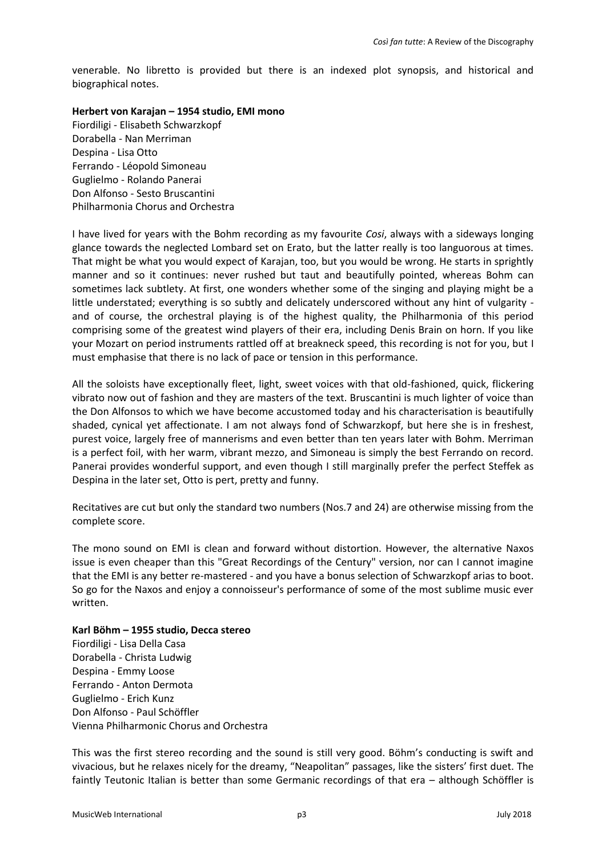venerable. No libretto is provided but there is an indexed plot synopsis, and historical and biographical notes.

#### **Herbert von Karajan – 1954 studio, EMI mono**

Fiordiligi - Elisabeth Schwarzkopf Dorabella - Nan Merriman Despina - Lisa Otto Ferrando - Léopold Simoneau Guglielmo - Rolando Panerai Don Alfonso - Sesto Bruscantini Philharmonia Chorus and Orchestra

I have lived for years with the Bohm recording as my favourite *Cosi*, always with a sideways longing glance towards the neglected Lombard set on Erato, but the latter really is too languorous at times. That might be what you would expect of Karajan, too, but you would be wrong. He starts in sprightly manner and so it continues: never rushed but taut and beautifully pointed, whereas Bohm can sometimes lack subtlety. At first, one wonders whether some of the singing and playing might be a little understated; everything is so subtly and delicately underscored without any hint of vulgarity and of course, the orchestral playing is of the highest quality, the Philharmonia of this period comprising some of the greatest wind players of their era, including Denis Brain on horn. If you like your Mozart on period instruments rattled off at breakneck speed, this recording is not for you, but I must emphasise that there is no lack of pace or tension in this performance.

All the soloists have exceptionally fleet, light, sweet voices with that old-fashioned, quick, flickering vibrato now out of fashion and they are masters of the text. Bruscantini is much lighter of voice than the Don Alfonsos to which we have become accustomed today and his characterisation is beautifully shaded, cynical yet affectionate. I am not always fond of Schwarzkopf, but here she is in freshest, purest voice, largely free of mannerisms and even better than ten years later with Bohm. Merriman is a perfect foil, with her warm, vibrant mezzo, and Simoneau is simply the best Ferrando on record. Panerai provides wonderful support, and even though I still marginally prefer the perfect Steffek as Despina in the later set, Otto is pert, pretty and funny.

Recitatives are cut but only the standard two numbers (Nos.7 and 24) are otherwise missing from the complete score.

The mono sound on EMI is clean and forward without distortion. However, the alternative Naxos issue is even cheaper than this "Great Recordings of the Century" version, nor can I cannot imagine that the EMI is any better re-mastered - and you have a bonus selection of Schwarzkopf arias to boot. So go for the Naxos and enjoy a connoisseur's performance of some of the most sublime music ever written.

# **Karl Böhm – 1955 studio, Decca stereo** Fiordiligi - Lisa Della Casa Dorabella - Christa Ludwig Despina - Emmy Loose Ferrando - Anton Dermota Guglielmo - Erich Kunz Don Alfonso - Paul Schöffler Vienna Philharmonic Chorus and Orchestra

This was the first stereo recording and the sound is still very good. Böhm's conducting is swift and vivacious, but he relaxes nicely for the dreamy, "Neapolitan" passages, like the sisters' first duet. The faintly Teutonic Italian is better than some Germanic recordings of that era – although Schöffler is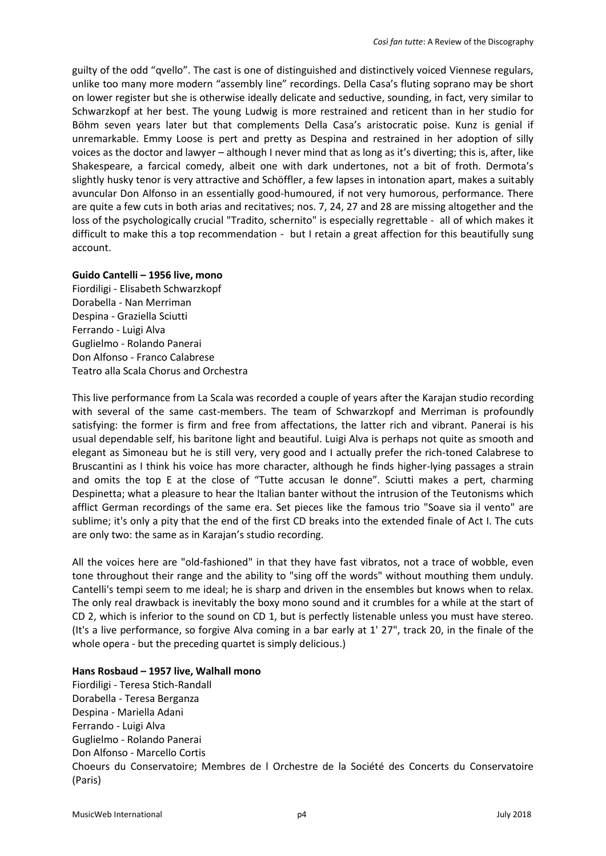guilty of the odd "qvello". The cast is one of distinguished and distinctively voiced Viennese regulars, unlike too many more modern "assembly line" recordings. Della Casa's fluting soprano may be short on lower register but she is otherwise ideally delicate and seductive, sounding, in fact, very similar to Schwarzkopf at her best. The young Ludwig is more restrained and reticent than in her studio for Böhm seven years later but that complements Della Casa's aristocratic poise. Kunz is genial if unremarkable. Emmy Loose is pert and pretty as Despina and restrained in her adoption of silly voices as the doctor and lawyer – although I never mind that as long as it's diverting; this is, after, like Shakespeare, a farcical comedy, albeit one with dark undertones, not a bit of froth. Dermota's slightly husky tenor is very attractive and Schöffler, a few lapses in intonation apart, makes a suitably avuncular Don Alfonso in an essentially good-humoured, if not very humorous, performance. There are quite a few cuts in both arias and recitatives; nos. 7, 24, 27 and 28 are missing altogether and the loss of the psychologically crucial "Tradito, schernito" is especially regrettable - all of which makes it difficult to make this a top recommendation - but I retain a great affection for this beautifully sung account.

## **Guido Cantelli – 1956 live, mono**

Fiordiligi - Elisabeth Schwarzkopf Dorabella - Nan Merriman Despina - Graziella Sciutti Ferrando - Luigi Alva Guglielmo - Rolando Panerai Don Alfonso - Franco Calabrese Teatro alla Scala Chorus and Orchestra

This live performance from La Scala was recorded a couple of years after the Karajan studio recording with several of the same cast-members. The team of Schwarzkopf and Merriman is profoundly satisfying: the former is firm and free from affectations, the latter rich and vibrant. Panerai is his usual dependable self, his baritone light and beautiful. Luigi Alva is perhaps not quite as smooth and elegant as Simoneau but he is still very, very good and I actually prefer the rich-toned Calabrese to Bruscantini as I think his voice has more character, although he finds higher-lying passages a strain and omits the top E at the close of "Tutte accusan le donne". Sciutti makes a pert, charming Despinetta; what a pleasure to hear the Italian banter without the intrusion of the Teutonisms which afflict German recordings of the same era. Set pieces like the famous trio "Soave sia il vento" are sublime; it's only a pity that the end of the first CD breaks into the extended finale of Act I. The cuts are only two: the same as in Karajan's studio recording.

All the voices here are "old-fashioned" in that they have fast vibratos, not a trace of wobble, even tone throughout their range and the ability to "sing off the words" without mouthing them unduly. Cantelli's tempi seem to me ideal; he is sharp and driven in the ensembles but knows when to relax. The only real drawback is inevitably the boxy mono sound and it crumbles for a while at the start of CD 2, which is inferior to the sound on CD 1, but is perfectly listenable unless you must have stereo. (It's a live performance, so forgive Alva coming in a bar early at 1' 27", track 20, in the finale of the whole opera - but the preceding quartet is simply delicious.)

#### **Hans Rosbaud – 1957 live, Walhall mono**

Fiordiligi - Teresa Stich-Randall Dorabella - Teresa Berganza Despina - Mariella Adani Ferrando - Luigi Alva Guglielmo - Rolando Panerai Don Alfonso - Marcello Cortis Choeurs du Conservatoire; Membres de l Orchestre de la Société des Concerts du Conservatoire (Paris)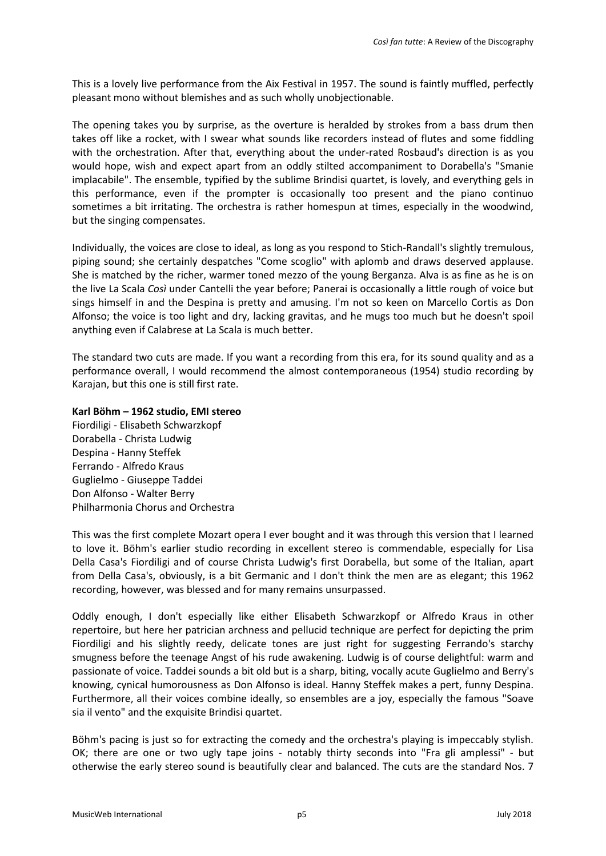This is a lovely live performance from the Aix Festival in 1957. The sound is faintly muffled, perfectly pleasant mono without blemishes and as such wholly unobjectionable.

The opening takes you by surprise, as the overture is heralded by strokes from a bass drum then takes off like a rocket, with I swear what sounds like recorders instead of flutes and some fiddling with the orchestration. After that, everything about the under-rated Rosbaud's direction is as you would hope, wish and expect apart from an oddly stilted accompaniment to Dorabella's "Smanie implacabile". The ensemble, typified by the sublime Brindisi quartet, is lovely, and everything gels in this performance, even if the prompter is occasionally too present and the piano continuo sometimes a bit irritating. The orchestra is rather homespun at times, especially in the woodwind, but the singing compensates.

Individually, the voices are close to ideal, as long as you respond to Stich-Randall's slightly tremulous, piping sound; she certainly despatches "Come scoglio" with aplomb and draws deserved applause. She is matched by the richer, warmer toned mezzo of the young Berganza. Alva is as fine as he is on the live La Scala *Così* under Cantelli the year before; Panerai is occasionally a little rough of voice but sings himself in and the Despina is pretty and amusing. I'm not so keen on Marcello Cortis as Don Alfonso; the voice is too light and dry, lacking gravitas, and he mugs too much but he doesn't spoil anything even if Calabrese at La Scala is much better.

The standard two cuts are made. If you want a recording from this era, for its sound quality and as a performance overall, I would recommend the almost contemporaneous (1954) studio recording by Karajan, but this one is still first rate.

## **Karl Böhm – 1962 studio, EMI stereo**

Fiordiligi - Elisabeth Schwarzkopf Dorabella - Christa Ludwig Despina - Hanny Steffek Ferrando - Alfredo Kraus Guglielmo - Giuseppe Taddei Don Alfonso - Walter Berry Philharmonia Chorus and Orchestra

This was the first complete Mozart opera I ever bought and it was through this version that I learned to love it. Böhm's earlier studio recording in excellent stereo is commendable, especially for Lisa Della Casa's Fiordiligi and of course Christa Ludwig's first Dorabella, but some of the Italian, apart from Della Casa's, obviously, is a bit Germanic and I don't think the men are as elegant; this 1962 recording, however, was blessed and for many remains unsurpassed.

Oddly enough, I don't especially like either Elisabeth Schwarzkopf or Alfredo Kraus in other repertoire, but here her patrician archness and pellucid technique are perfect for depicting the prim Fiordiligi and his slightly reedy, delicate tones are just right for suggesting Ferrando's starchy smugness before the teenage Angst of his rude awakening. Ludwig is of course delightful: warm and passionate of voice. Taddei sounds a bit old but is a sharp, biting, vocally acute Guglielmo and Berry's knowing, cynical humorousness as Don Alfonso is ideal. Hanny Steffek makes a pert, funny Despina. Furthermore, all their voices combine ideally, so ensembles are a joy, especially the famous "Soave sia il vento" and the exquisite Brindisi quartet.

Böhm's pacing is just so for extracting the comedy and the orchestra's playing is impeccably stylish. OK; there are one or two ugly tape joins - notably thirty seconds into "Fra gli amplessi" - but otherwise the early stereo sound is beautifully clear and balanced. The cuts are the standard Nos. 7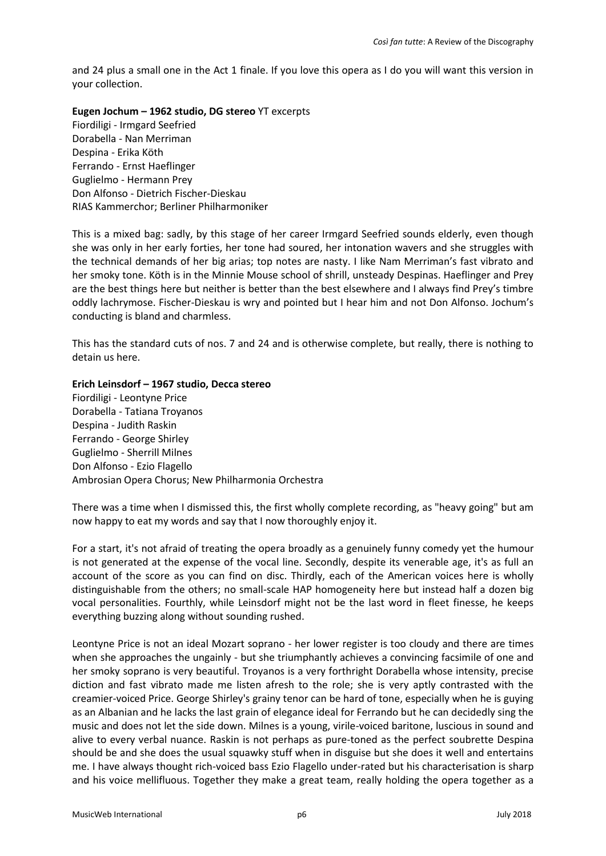and 24 plus a small one in the Act 1 finale. If you love this opera as I do you will want this version in your collection.

**Eugen Jochum – 1962 studio, DG stereo** YT excerpts Fiordiligi - Irmgard Seefried Dorabella - Nan Merriman Despina - Erika Köth Ferrando - Ernst Haeflinger Guglielmo - Hermann Prey Don Alfonso - Dietrich Fischer-Dieskau RIAS Kammerchor; Berliner Philharmoniker

This is a mixed bag: sadly, by this stage of her career Irmgard Seefried sounds elderly, even though she was only in her early forties, her tone had soured, her intonation wavers and she struggles with the technical demands of her big arias; top notes are nasty. I like Nam Merriman's fast vibrato and her smoky tone. Köth is in the Minnie Mouse school of shrill, unsteady Despinas. Haeflinger and Prey are the best things here but neither is better than the best elsewhere and I always find Prey's timbre oddly lachrymose. Fischer-Dieskau is wry and pointed but I hear him and not Don Alfonso. Jochum's conducting is bland and charmless.

This has the standard cuts of nos. 7 and 24 and is otherwise complete, but really, there is nothing to detain us here.

## **Erich Leinsdorf – 1967 studio, Decca stereo**

Fiordiligi - Leontyne Price Dorabella - Tatiana Troyanos Despina - Judith Raskin Ferrando - George Shirley Guglielmo - Sherrill Milnes Don Alfonso - Ezio Flagello Ambrosian Opera Chorus; New Philharmonia Orchestra

There was a time when I dismissed this, the first wholly complete recording, as "heavy going" but am now happy to eat my words and say that I now thoroughly enjoy it.

For a start, it's not afraid of treating the opera broadly as a genuinely funny comedy yet the humour is not generated at the expense of the vocal line. Secondly, despite its venerable age, it's as full an account of the score as you can find on disc. Thirdly, each of the American voices here is wholly distinguishable from the others; no small-scale HAP homogeneity here but instead half a dozen big vocal personalities. Fourthly, while Leinsdorf might not be the last word in fleet finesse, he keeps everything buzzing along without sounding rushed.

Leontyne Price is not an ideal Mozart soprano - her lower register is too cloudy and there are times when she approaches the ungainly - but she triumphantly achieves a convincing facsimile of one and her smoky soprano is very beautiful. Troyanos is a very forthright Dorabella whose intensity, precise diction and fast vibrato made me listen afresh to the role; she is very aptly contrasted with the creamier-voiced Price. George Shirley's grainy tenor can be hard of tone, especially when he is guying as an Albanian and he lacks the last grain of elegance ideal for Ferrando but he can decidedly sing the music and does not let the side down. Milnes is a young, virile-voiced baritone, luscious in sound and alive to every verbal nuance. Raskin is not perhaps as pure-toned as the perfect soubrette Despina should be and she does the usual squawky stuff when in disguise but she does it well and entertains me. I have always thought rich-voiced bass Ezio Flagello under-rated but his characterisation is sharp and his voice mellifluous. Together they make a great team, really holding the opera together as a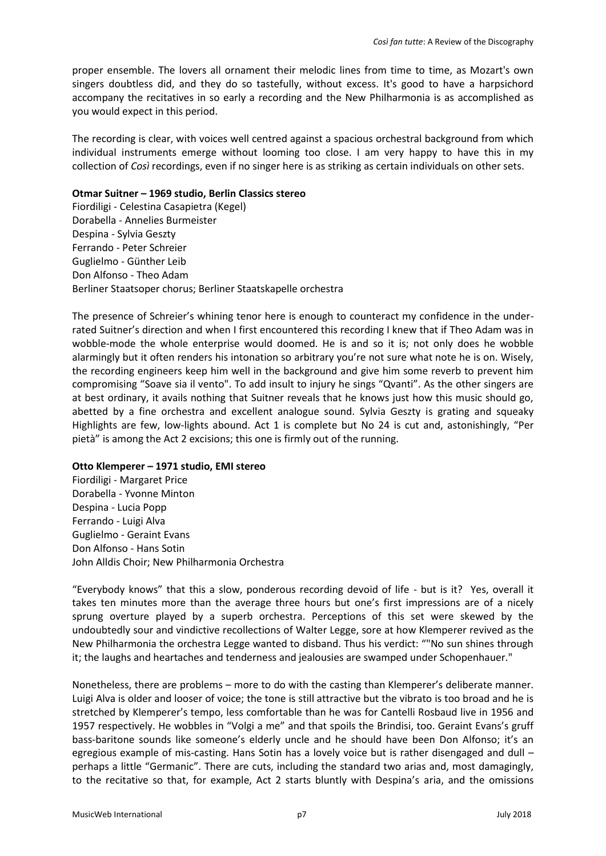proper ensemble. The lovers all ornament their melodic lines from time to time, as Mozart's own singers doubtless did, and they do so tastefully, without excess. It's good to have a harpsichord accompany the recitatives in so early a recording and the New Philharmonia is as accomplished as you would expect in this period.

The recording is clear, with voices well centred against a spacious orchestral background from which individual instruments emerge without looming too close. I am very happy to have this in my collection of *Così* recordings, even if no singer here is as striking as certain individuals on other sets.

#### **Otmar Suitner – 1969 studio, Berlin Classics stereo**

Fiordiligi - Celestina Casapietra (Kegel) Dorabella - Annelies Burmeister Despina - Sylvia Geszty Ferrando - Peter Schreier Guglielmo - Günther Leib Don Alfonso - Theo Adam Berliner Staatsoper chorus; Berliner Staatskapelle orchestra

The presence of Schreier's whining tenor here is enough to counteract my confidence in the underrated Suitner's direction and when I first encountered this recording I knew that if Theo Adam was in wobble-mode the whole enterprise would doomed. He is and so it is; not only does he wobble alarmingly but it often renders his intonation so arbitrary you're not sure what note he is on. Wisely, the recording engineers keep him well in the background and give him some reverb to prevent him compromising "Soave sia il vento". To add insult to injury he sings "Qvanti". As the other singers are at best ordinary, it avails nothing that Suitner reveals that he knows just how this music should go, abetted by a fine orchestra and excellent analogue sound. Sylvia Geszty is grating and squeaky Highlights are few, low-lights abound. Act 1 is complete but No 24 is cut and, astonishingly, "Per pietà" is among the Act 2 excisions; this one is firmly out of the running.

#### **Otto Klemperer – 1971 studio, EMI stereo**

Fiordiligi - Margaret Price Dorabella - Yvonne Minton Despina - Lucia Popp Ferrando - Luigi Alva Guglielmo - Geraint Evans Don Alfonso - Hans Sotin John Alldis Choir; New Philharmonia Orchestra

"Everybody knows" that this a slow, ponderous recording devoid of life - but is it? Yes, overall it takes ten minutes more than the average three hours but one's first impressions are of a nicely sprung overture played by a superb orchestra. Perceptions of this set were skewed by the undoubtedly sour and vindictive recollections of Walter Legge, sore at how Klemperer revived as the New Philharmonia the orchestra Legge wanted to disband. Thus his verdict: ""No sun shines through it; the laughs and heartaches and tenderness and jealousies are swamped under Schopenhauer."

Nonetheless, there are problems – more to do with the casting than Klemperer's deliberate manner. Luigi Alva is older and looser of voice; the tone is still attractive but the vibrato is too broad and he is stretched by Klemperer's tempo, less comfortable than he was for Cantelli Rosbaud live in 1956 and 1957 respectively. He wobbles in "Volgi a me" and that spoils the Brindisi, too. Geraint Evans's gruff bass-baritone sounds like someone's elderly uncle and he should have been Don Alfonso; it's an egregious example of mis-casting. Hans Sotin has a lovely voice but is rather disengaged and dull perhaps a little "Germanic". There are cuts, including the standard two arias and, most damagingly, to the recitative so that, for example, Act 2 starts bluntly with Despina's aria, and the omissions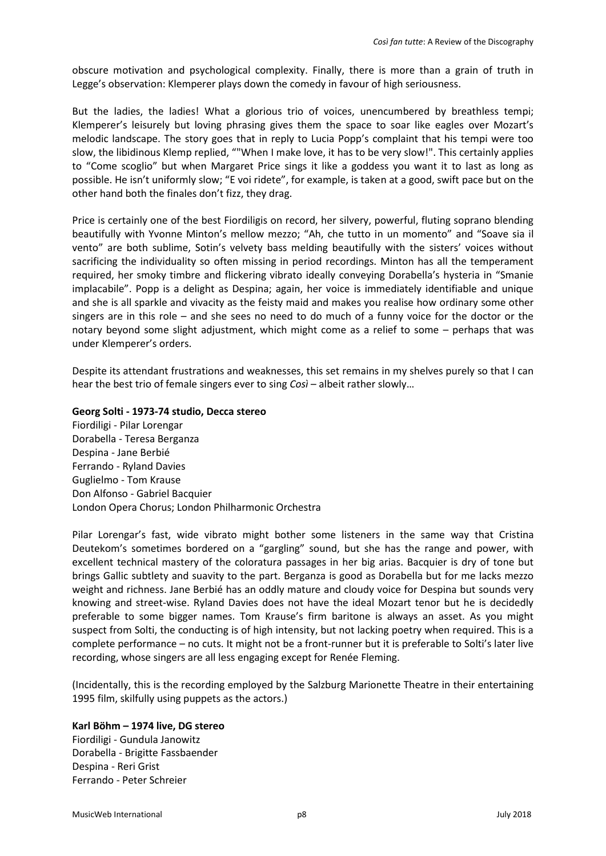obscure motivation and psychological complexity. Finally, there is more than a grain of truth in Legge's observation: Klemperer plays down the comedy in favour of high seriousness.

But the ladies, the ladies! What a glorious trio of voices, unencumbered by breathless tempi; Klemperer's leisurely but loving phrasing gives them the space to soar like eagles over Mozart's melodic landscape. The story goes that in reply to Lucia Popp's complaint that his tempi were too slow, the libidinous Klemp replied, ""When I make love, it has to be very slow!". This certainly applies to "Come scoglio" but when Margaret Price sings it like a goddess you want it to last as long as possible. He isn't uniformly slow; "E voi ridete", for example, is taken at a good, swift pace but on the other hand both the finales don't fizz, they drag.

Price is certainly one of the best Fiordiligis on record, her silvery, powerful, fluting soprano blending beautifully with Yvonne Minton's mellow mezzo; "Ah, che tutto in un momento" and "Soave sia il vento" are both sublime, Sotin's velvety bass melding beautifully with the sisters' voices without sacrificing the individuality so often missing in period recordings. Minton has all the temperament required, her smoky timbre and flickering vibrato ideally conveying Dorabella's hysteria in "Smanie implacabile". Popp is a delight as Despina; again, her voice is immediately identifiable and unique and she is all sparkle and vivacity as the feisty maid and makes you realise how ordinary some other singers are in this role – and she sees no need to do much of a funny voice for the doctor or the notary beyond some slight adjustment, which might come as a relief to some – perhaps that was under Klemperer's orders.

Despite its attendant frustrations and weaknesses, this set remains in my shelves purely so that I can hear the best trio of female singers ever to sing *Così* – albeit rather slowly…

## **Georg Solti - 1973-74 studio, Decca stereo**

Fiordiligi - Pilar Lorengar Dorabella - Teresa Berganza Despina - Jane Berbié Ferrando - Ryland Davies Guglielmo - Tom Krause Don Alfonso - Gabriel Bacquier London Opera Chorus; London Philharmonic Orchestra

Pilar Lorengar's fast, wide vibrato might bother some listeners in the same way that Cristina Deutekom's sometimes bordered on a "gargling" sound, but she has the range and power, with excellent technical mastery of the coloratura passages in her big arias. Bacquier is dry of tone but brings Gallic subtlety and suavity to the part. Berganza is good as Dorabella but for me lacks mezzo weight and richness. Jane Berbié has an oddly mature and cloudy voice for Despina but sounds very knowing and street-wise. Ryland Davies does not have the ideal Mozart tenor but he is decidedly preferable to some bigger names. Tom Krause's firm baritone is always an asset. As you might suspect from Solti, the conducting is of high intensity, but not lacking poetry when required. This is a complete performance – no cuts. It might not be a front-runner but it is preferable to Solti's later live recording, whose singers are all less engaging except for Renée Fleming.

(Incidentally, this is the recording employed by the Salzburg Marionette Theatre in their entertaining 1995 film, skilfully using puppets as the actors.)

## **Karl Böhm – 1974 live, DG stereo**

Fiordiligi - Gundula Janowitz Dorabella - Brigitte Fassbaender Despina - Reri Grist Ferrando - Peter Schreier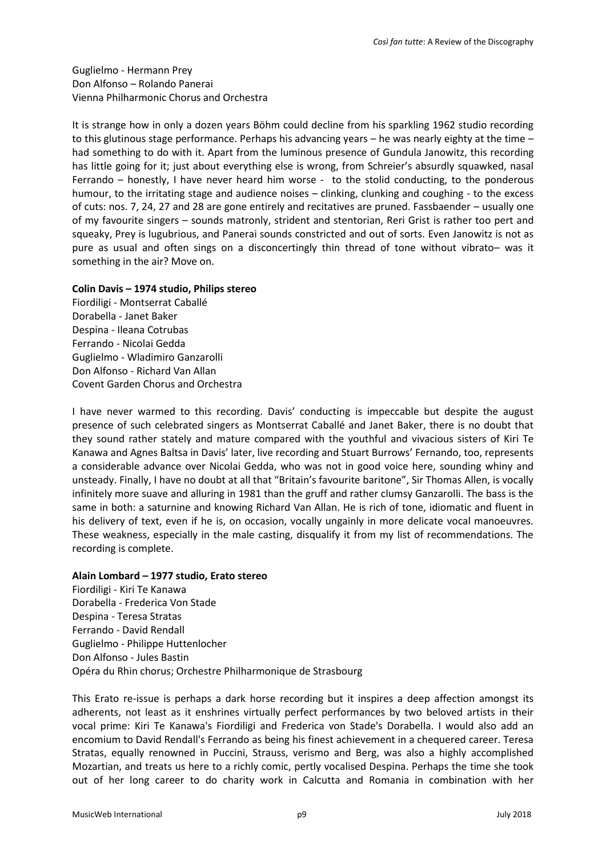Guglielmo - Hermann Prey Don Alfonso – Rolando Panerai Vienna Philharmonic Chorus and Orchestra

It is strange how in only a dozen years Böhm could decline from his sparkling 1962 studio recording to this glutinous stage performance. Perhaps his advancing years – he was nearly eighty at the time – had something to do with it. Apart from the luminous presence of Gundula Janowitz, this recording has little going for it; just about everything else is wrong, from Schreier's absurdly squawked, nasal Ferrando – honestly, I have never heard him worse - to the stolid conducting, to the ponderous humour, to the irritating stage and audience noises – clinking, clunking and coughing - to the excess of cuts: nos. 7, 24, 27 and 28 are gone entirely and recitatives are pruned. Fassbaender – usually one of my favourite singers – sounds matronly, strident and stentorian, Reri Grist is rather too pert and squeaky, Prey is lugubrious, and Panerai sounds constricted and out of sorts. Even Janowitz is not as pure as usual and often sings on a disconcertingly thin thread of tone without vibrato– was it something in the air? Move on.

## **Colin Davis – 1974 studio, Philips stereo**

Fiordiligi - Montserrat Caballé Dorabella - Janet Baker Despina - Ileana Cotrubas Ferrando - Nicolai Gedda Guglielmo - Wladimiro Ganzarolli Don Alfonso - Richard Van Allan Covent Garden Chorus and Orchestra

I have never warmed to this recording. Davis' conducting is impeccable but despite the august presence of such celebrated singers as Montserrat Caballé and Janet Baker, there is no doubt that they sound rather stately and mature compared with the youthful and vivacious sisters of Kiri Te Kanawa and Agnes Baltsa in Davis' later, live recording and Stuart Burrows' Fernando, too, represents a considerable advance over Nicolai Gedda, who was not in good voice here, sounding whiny and unsteady. Finally, I have no doubt at all that "Britain's favourite baritone", Sir Thomas Allen, is vocally infinitely more suave and alluring in 1981 than the gruff and rather clumsy Ganzarolli. The bass is the same in both: a saturnine and knowing Richard Van Allan. He is rich of tone, idiomatic and fluent in his delivery of text, even if he is, on occasion, vocally ungainly in more delicate vocal manoeuvres. These weakness, especially in the male casting, disqualify it from my list of recommendations. The recording is complete.

## **Alain Lombard – 1977 studio, Erato stereo**

Fiordiligi - Kiri Te Kanawa Dorabella - Frederica Von Stade Despina - Teresa Stratas Ferrando - David Rendall Guglielmo - Philippe Huttenlocher Don Alfonso - Jules Bastin Opéra du Rhin chorus; Orchestre Philharmonique de Strasbourg

This Erato re-issue is perhaps a dark horse recording but it inspires a deep affection amongst its adherents, not least as it enshrines virtually perfect performances by two beloved artists in their vocal prime: Kiri Te Kanawa's Fiordiligi and Frederica von Stade's Dorabella. I would also add an encomium to David Rendall's Ferrando as being his finest achievement in a chequered career. Teresa Stratas, equally renowned in Puccini, Strauss, verismo and Berg, was also a highly accomplished Mozartian, and treats us here to a richly comic, pertly vocalised Despina. Perhaps the time she took out of her long career to do charity work in Calcutta and Romania in combination with her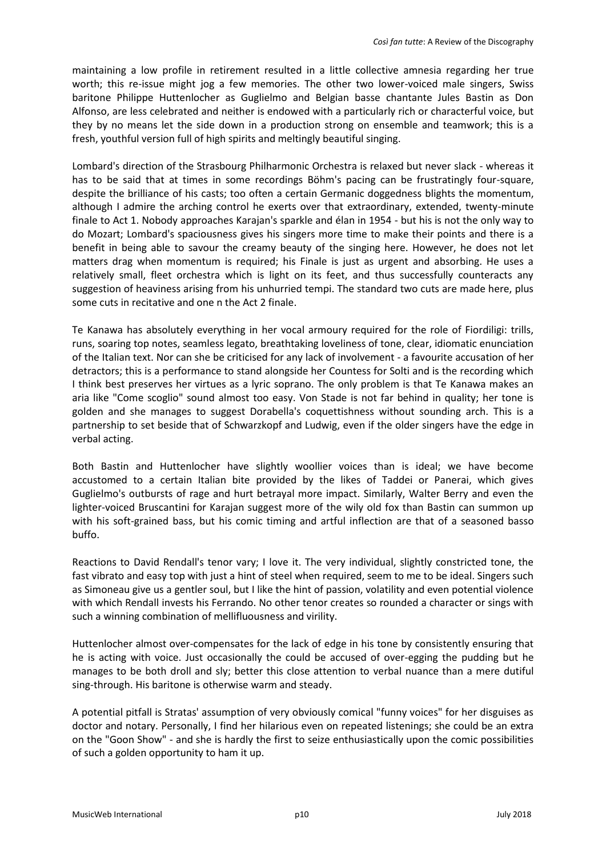maintaining a low profile in retirement resulted in a little collective amnesia regarding her true worth; this re-issue might jog a few memories. The other two lower-voiced male singers, Swiss baritone Philippe Huttenlocher as Guglielmo and Belgian basse chantante Jules Bastin as Don Alfonso, are less celebrated and neither is endowed with a particularly rich or characterful voice, but they by no means let the side down in a production strong on ensemble and teamwork; this is a fresh, youthful version full of high spirits and meltingly beautiful singing.

Lombard's direction of the Strasbourg Philharmonic Orchestra is relaxed but never slack - whereas it has to be said that at times in some recordings Böhm's pacing can be frustratingly four-square, despite the brilliance of his casts; too often a certain Germanic doggedness blights the momentum, although I admire the arching control he exerts over that extraordinary, extended, twenty-minute finale to Act 1. Nobody approaches Karajan's sparkle and élan in 1954 - but his is not the only way to do Mozart; Lombard's spaciousness gives his singers more time to make their points and there is a benefit in being able to savour the creamy beauty of the singing here. However, he does not let matters drag when momentum is required; his Finale is just as urgent and absorbing. He uses a relatively small, fleet orchestra which is light on its feet, and thus successfully counteracts any suggestion of heaviness arising from his unhurried tempi. The standard two cuts are made here, plus some cuts in recitative and one n the Act 2 finale.

Te Kanawa has absolutely everything in her vocal armoury required for the role of Fiordiligi: trills, runs, soaring top notes, seamless legato, breathtaking loveliness of tone, clear, idiomatic enunciation of the Italian text. Nor can she be criticised for any lack of involvement - a favourite accusation of her detractors; this is a performance to stand alongside her Countess for Solti and is the recording which I think best preserves her virtues as a lyric soprano. The only problem is that Te Kanawa makes an aria like "Come scoglio" sound almost too easy. Von Stade is not far behind in quality; her tone is golden and she manages to suggest Dorabella's coquettishness without sounding arch. This is a partnership to set beside that of Schwarzkopf and Ludwig, even if the older singers have the edge in verbal acting.

Both Bastin and Huttenlocher have slightly woollier voices than is ideal; we have become accustomed to a certain Italian bite provided by the likes of Taddei or Panerai, which gives Guglielmo's outbursts of rage and hurt betrayal more impact. Similarly, Walter Berry and even the lighter-voiced Bruscantini for Karajan suggest more of the wily old fox than Bastin can summon up with his soft-grained bass, but his comic timing and artful inflection are that of a seasoned basso buffo.

Reactions to David Rendall's tenor vary; I love it. The very individual, slightly constricted tone, the fast vibrato and easy top with just a hint of steel when required, seem to me to be ideal. Singers such as Simoneau give us a gentler soul, but I like the hint of passion, volatility and even potential violence with which Rendall invests his Ferrando. No other tenor creates so rounded a character or sings with such a winning combination of mellifluousness and virility.

Huttenlocher almost over-compensates for the lack of edge in his tone by consistently ensuring that he is acting with voice. Just occasionally the could be accused of over-egging the pudding but he manages to be both droll and sly; better this close attention to verbal nuance than a mere dutiful sing-through. His baritone is otherwise warm and steady.

A potential pitfall is Stratas' assumption of very obviously comical "funny voices" for her disguises as doctor and notary. Personally, I find her hilarious even on repeated listenings; she could be an extra on the "Goon Show" - and she is hardly the first to seize enthusiastically upon the comic possibilities of such a golden opportunity to ham it up.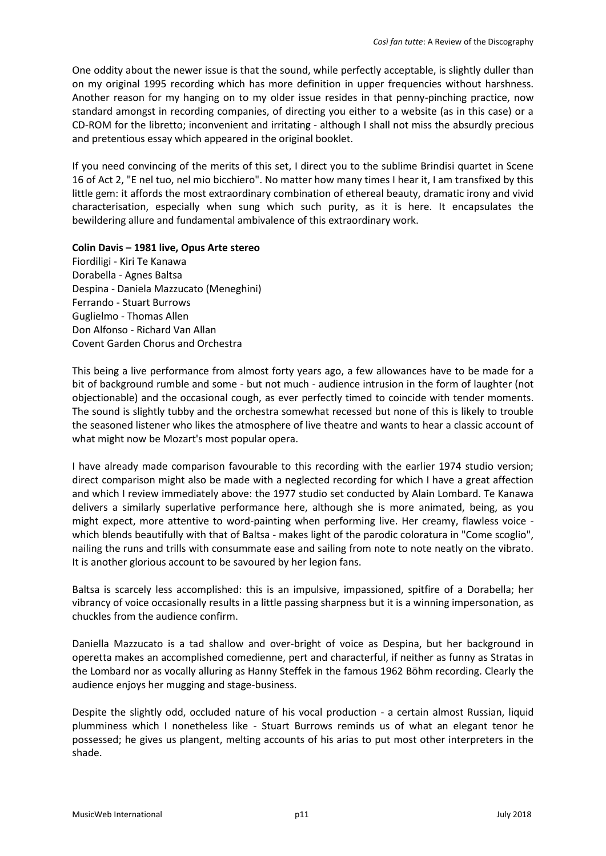One oddity about the newer issue is that the sound, while perfectly acceptable, is slightly duller than on my original 1995 recording which has more definition in upper frequencies without harshness. Another reason for my hanging on to my older issue resides in that penny-pinching practice, now standard amongst in recording companies, of directing you either to a website (as in this case) or a CD-ROM for the libretto; inconvenient and irritating - although I shall not miss the absurdly precious and pretentious essay which appeared in the original booklet.

If you need convincing of the merits of this set, I direct you to the sublime Brindisi quartet in Scene 16 of Act 2, "E nel tuo, nel mio bicchiero". No matter how many times I hear it, I am transfixed by this little gem: it affords the most extraordinary combination of ethereal beauty, dramatic irony and vivid characterisation, especially when sung which such purity, as it is here. It encapsulates the bewildering allure and fundamental ambivalence of this extraordinary work.

## **Colin Davis – 1981 live, Opus Arte stereo**

Fiordiligi - Kiri Te Kanawa Dorabella - Agnes Baltsa Despina - Daniela Mazzucato (Meneghini) Ferrando - Stuart Burrows Guglielmo - Thomas Allen Don Alfonso - Richard Van Allan Covent Garden Chorus and Orchestra

This being a live performance from almost forty years ago, a few allowances have to be made for a bit of background rumble and some - but not much - audience intrusion in the form of laughter (not objectionable) and the occasional cough, as ever perfectly timed to coincide with tender moments. The sound is slightly tubby and the orchestra somewhat recessed but none of this is likely to trouble the seasoned listener who likes the atmosphere of live theatre and wants to hear a classic account of what might now be Mozart's most popular opera.

I have already made comparison favourable to this recording with the earlier 1974 studio version; direct comparison might also be made with a neglected recording for which I have a great affection and which I review immediately above: the 1977 studio set conducted by Alain Lombard. Te Kanawa delivers a similarly superlative performance here, although she is more animated, being, as you might expect, more attentive to word-painting when performing live. Her creamy, flawless voice which blends beautifully with that of Baltsa - makes light of the parodic coloratura in "Come scoglio", nailing the runs and trills with consummate ease and sailing from note to note neatly on the vibrato. It is another glorious account to be savoured by her legion fans.

Baltsa is scarcely less accomplished: this is an impulsive, impassioned, spitfire of a Dorabella; her vibrancy of voice occasionally results in a little passing sharpness but it is a winning impersonation, as chuckles from the audience confirm.

Daniella Mazzucato is a tad shallow and over-bright of voice as Despina, but her background in operetta makes an accomplished comedienne, pert and characterful, if neither as funny as Stratas in the Lombard nor as vocally alluring as Hanny Steffek in the famous 1962 Böhm recording. Clearly the audience enjoys her mugging and stage-business.

Despite the slightly odd, occluded nature of his vocal production - a certain almost Russian, liquid plumminess which I nonetheless like - Stuart Burrows reminds us of what an elegant tenor he possessed; he gives us plangent, melting accounts of his arias to put most other interpreters in the shade.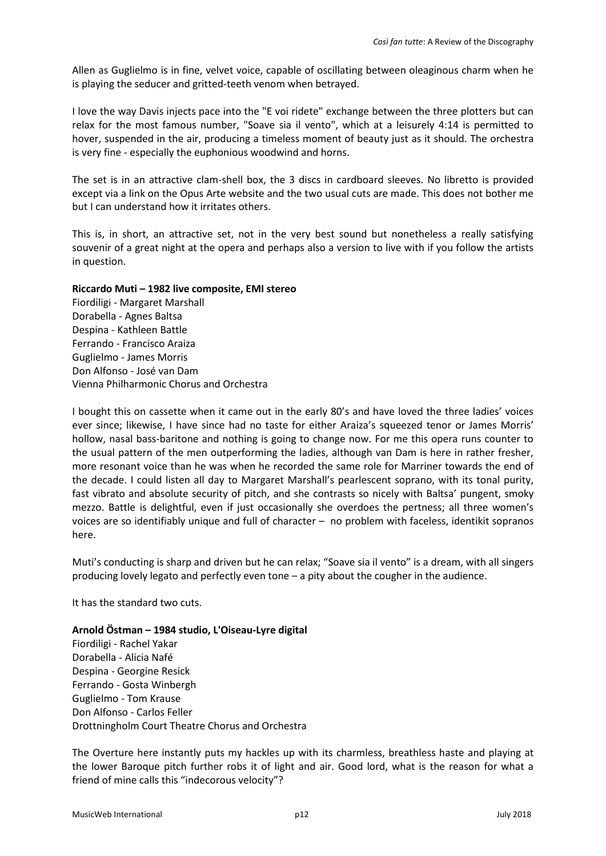Allen as Guglielmo is in fine, velvet voice, capable of oscillating between oleaginous charm when he is playing the seducer and gritted-teeth venom when betrayed.

I love the way Davis injects pace into the "E voi ridete" exchange between the three plotters but can relax for the most famous number, "Soave sia il vento", which at a leisurely 4:14 is permitted to hover, suspended in the air, producing a timeless moment of beauty just as it should. The orchestra is very fine - especially the euphonious woodwind and horns.

The set is in an attractive clam-shell box, the 3 discs in cardboard sleeves. No libretto is provided except via a link on the Opus Arte website and the two usual cuts are made. This does not bother me but I can understand how it irritates others.

This is, in short, an attractive set, not in the very best sound but nonetheless a really satisfying souvenir of a great night at the opera and perhaps also a version to live with if you follow the artists in question.

## **Riccardo Muti – 1982 live composite, EMI stereo**

Fiordiligi - Margaret Marshall Dorabella - Agnes Baltsa Despina - Kathleen Battle Ferrando - Francisco Araiza Guglielmo - James Morris Don Alfonso - José van Dam Vienna Philharmonic Chorus and Orchestra

I bought this on cassette when it came out in the early 80's and have loved the three ladies' voices ever since; likewise, I have since had no taste for either Araiza's squeezed tenor or James Morris' hollow, nasal bass-baritone and nothing is going to change now. For me this opera runs counter to the usual pattern of the men outperforming the ladies, although van Dam is here in rather fresher, more resonant voice than he was when he recorded the same role for Marriner towards the end of the decade. I could listen all day to Margaret Marshall's pearlescent soprano, with its tonal purity, fast vibrato and absolute security of pitch, and she contrasts so nicely with Baltsa' pungent, smoky mezzo. Battle is delightful, even if just occasionally she overdoes the pertness; all three women's voices are so identifiably unique and full of character – no problem with faceless, identikit sopranos here.

Muti's conducting is sharp and driven but he can relax; "Soave sia il vento" is a dream, with all singers producing lovely legato and perfectly even tone – a pity about the cougher in the audience.

It has the standard two cuts.

**Arnold Östman – 1984 studio, L'Oiseau-Lyre digital**  Fiordiligi - Rachel Yakar Dorabella - Alicia Nafé Despina - Georgine Resick Ferrando - Gosta Winbergh Guglielmo - Tom Krause Don Alfonso - Carlos Feller Drottningholm Court Theatre Chorus and Orchestra

The Overture here instantly puts my hackles up with its charmless, breathless haste and playing at the lower Baroque pitch further robs it of light and air. Good lord, what is the reason for what a friend of mine calls this "indecorous velocity"?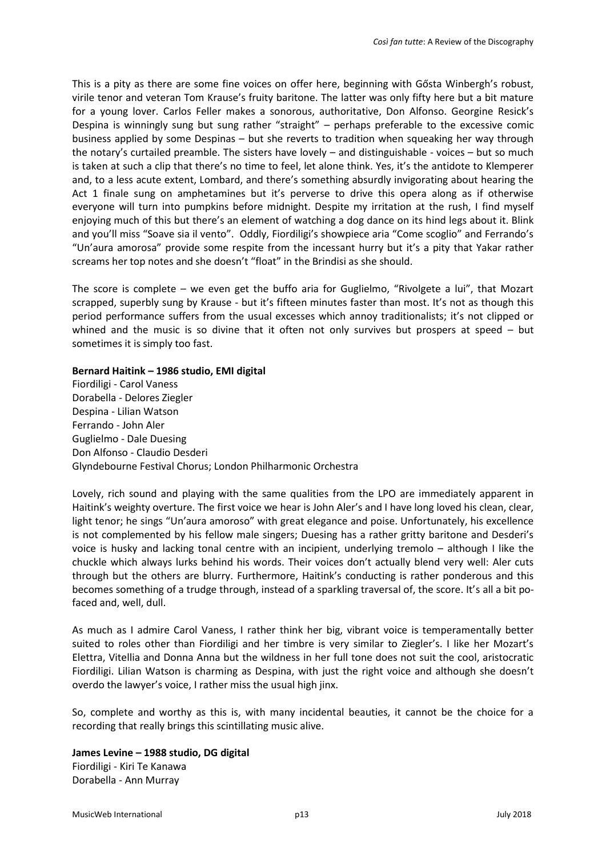This is a pity as there are some fine voices on offer here, beginning with Gősta Winbergh's robust, virile tenor and veteran Tom Krause's fruity baritone. The latter was only fifty here but a bit mature for a young lover. Carlos Feller makes a sonorous, authoritative, Don Alfonso. Georgine Resick's Despina is winningly sung but sung rather "straight" – perhaps preferable to the excessive comic business applied by some Despinas – but she reverts to tradition when squeaking her way through the notary's curtailed preamble. The sisters have lovely – and distinguishable - voices – but so much is taken at such a clip that there's no time to feel, let alone think. Yes, it's the antidote to Klemperer and, to a less acute extent, Lombard, and there's something absurdly invigorating about hearing the Act 1 finale sung on amphetamines but it's perverse to drive this opera along as if otherwise everyone will turn into pumpkins before midnight. Despite my irritation at the rush, I find myself enjoying much of this but there's an element of watching a dog dance on its hind legs about it. Blink and you'll miss "Soave sia il vento". Oddly, Fiordiligi's showpiece aria "Come scoglio" and Ferrando's "Un'aura amorosa" provide some respite from the incessant hurry but it's a pity that Yakar rather screams her top notes and she doesn't "float" in the Brindisi as she should.

The score is complete – we even get the buffo aria for Guglielmo, "Rivolgete a lui", that Mozart scrapped, superbly sung by Krause - but it's fifteen minutes faster than most. It's not as though this period performance suffers from the usual excesses which annoy traditionalists; it's not clipped or whined and the music is so divine that it often not only survives but prospers at speed – but sometimes it is simply too fast.

## **Bernard Haitink – 1986 studio, EMI digital**

Fiordiligi - Carol Vaness Dorabella - Delores Ziegler Despina - Lilian Watson Ferrando - John Aler Guglielmo - Dale Duesing Don Alfonso - Claudio Desderi Glyndebourne Festival Chorus; London Philharmonic Orchestra

Lovely, rich sound and playing with the same qualities from the LPO are immediately apparent in Haitink's weighty overture. The first voice we hear is John Aler's and I have long loved his clean, clear, light tenor; he sings "Un'aura amoroso" with great elegance and poise. Unfortunately, his excellence is not complemented by his fellow male singers; Duesing has a rather gritty baritone and Desderi's voice is husky and lacking tonal centre with an incipient, underlying tremolo – although I like the chuckle which always lurks behind his words. Their voices don't actually blend very well: Aler cuts through but the others are blurry. Furthermore, Haitink's conducting is rather ponderous and this becomes something of a trudge through, instead of a sparkling traversal of, the score. It's all a bit pofaced and, well, dull.

As much as I admire Carol Vaness, I rather think her big, vibrant voice is temperamentally better suited to roles other than Fiordiligi and her timbre is very similar to Ziegler's. I like her Mozart's Elettra, Vitellia and Donna Anna but the wildness in her full tone does not suit the cool, aristocratic Fiordiligi. Lilian Watson is charming as Despina, with just the right voice and although she doesn't overdo the lawyer's voice, I rather miss the usual high jinx.

So, complete and worthy as this is, with many incidental beauties, it cannot be the choice for a recording that really brings this scintillating music alive.

**James Levine – 1988 studio, DG digital** Fiordiligi - Kiri Te Kanawa Dorabella - Ann Murray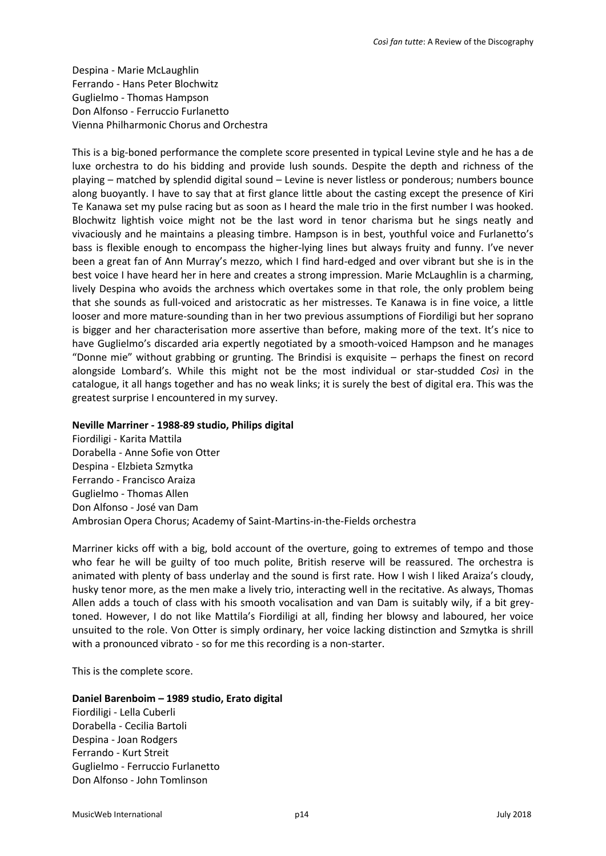Despina - Marie McLaughlin Ferrando - Hans Peter Blochwitz Guglielmo - Thomas Hampson Don Alfonso - Ferruccio Furlanetto Vienna Philharmonic Chorus and Orchestra

This is a big-boned performance the complete score presented in typical Levine style and he has a de luxe orchestra to do his bidding and provide lush sounds. Despite the depth and richness of the playing – matched by splendid digital sound – Levine is never listless or ponderous; numbers bounce along buoyantly. I have to say that at first glance little about the casting except the presence of Kiri Te Kanawa set my pulse racing but as soon as I heard the male trio in the first number I was hooked. Blochwitz lightish voice might not be the last word in tenor charisma but he sings neatly and vivaciously and he maintains a pleasing timbre. Hampson is in best, youthful voice and Furlanetto's bass is flexible enough to encompass the higher-lying lines but always fruity and funny. I've never been a great fan of Ann Murray's mezzo, which I find hard-edged and over vibrant but she is in the best voice I have heard her in here and creates a strong impression. Marie McLaughlin is a charming, lively Despina who avoids the archness which overtakes some in that role, the only problem being that she sounds as full-voiced and aristocratic as her mistresses. Te Kanawa is in fine voice, a little looser and more mature-sounding than in her two previous assumptions of Fiordiligi but her soprano is bigger and her characterisation more assertive than before, making more of the text. It's nice to have Guglielmo's discarded aria expertly negotiated by a smooth-voiced Hampson and he manages "Donne mie" without grabbing or grunting. The Brindisi is exquisite – perhaps the finest on record alongside Lombard's. While this might not be the most individual or star-studded *Così* in the catalogue, it all hangs together and has no weak links; it is surely the best of digital era. This was the greatest surprise I encountered in my survey.

#### **Neville Marriner - 1988-89 studio, Philips digital**

Fiordiligi - Karita Mattila Dorabella - Anne Sofie von Otter Despina - Elzbieta Szmytka Ferrando - Francisco Araiza Guglielmo - Thomas Allen Don Alfonso - José van Dam Ambrosian Opera Chorus; Academy of Saint-Martins-in-the-Fields orchestra

Marriner kicks off with a big, bold account of the overture, going to extremes of tempo and those who fear he will be guilty of too much polite, British reserve will be reassured. The orchestra is animated with plenty of bass underlay and the sound is first rate. How I wish I liked Araiza's cloudy, husky tenor more, as the men make a lively trio, interacting well in the recitative. As always, Thomas Allen adds a touch of class with his smooth vocalisation and van Dam is suitably wily, if a bit greytoned. However, I do not like Mattila's Fiordiligi at all, finding her blowsy and laboured, her voice unsuited to the role. Von Otter is simply ordinary, her voice lacking distinction and Szmytka is shrill with a pronounced vibrato - so for me this recording is a non-starter.

This is the complete score.

#### **Daniel Barenboim – 1989 studio, Erato digital**

Fiordiligi - Lella Cuberli Dorabella - Cecilia Bartoli Despina - Joan Rodgers Ferrando - Kurt Streit Guglielmo - Ferruccio Furlanetto Don Alfonso - John Tomlinson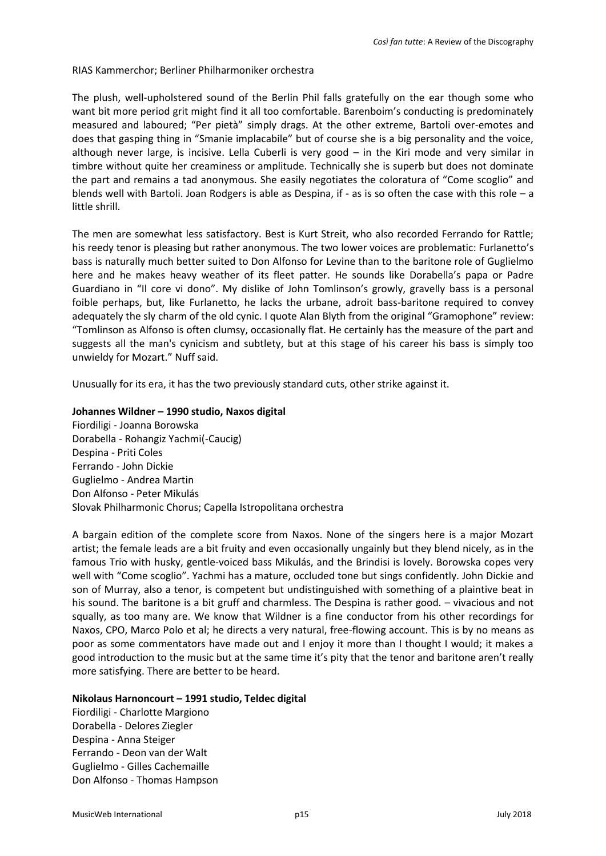#### RIAS Kammerchor; Berliner Philharmoniker orchestra

The plush, well-upholstered sound of the Berlin Phil falls gratefully on the ear though some who want bit more period grit might find it all too comfortable. Barenboim's conducting is predominately measured and laboured; "Per pietà" simply drags. At the other extreme, Bartoli over-emotes and does that gasping thing in "Smanie implacabile" but of course she is a big personality and the voice, although never large, is incisive. Lella Cuberli is very good – in the Kiri mode and very similar in timbre without quite her creaminess or amplitude. Technically she is superb but does not dominate the part and remains a tad anonymous. She easily negotiates the coloratura of "Come scoglio" and blends well with Bartoli. Joan Rodgers is able as Despina, if - as is so often the case with this role - a little shrill.

The men are somewhat less satisfactory. Best is Kurt Streit, who also recorded Ferrando for Rattle; his reedy tenor is pleasing but rather anonymous. The two lower voices are problematic: Furlanetto's bass is naturally much better suited to Don Alfonso for Levine than to the baritone role of Guglielmo here and he makes heavy weather of its fleet patter. He sounds like Dorabella's papa or Padre Guardiano in "Il core vi dono". My dislike of John Tomlinson's growly, gravelly bass is a personal foible perhaps, but, like Furlanetto, he lacks the urbane, adroit bass-baritone required to convey adequately the sly charm of the old cynic. I quote Alan Blyth from the original "Gramophone" review: "Tomlinson as Alfonso is often clumsy, occasionally flat. He certainly has the measure of the part and suggests all the man's cynicism and subtlety, but at this stage of his career his bass is simply too unwieldy for Mozart." Nuff said.

Unusually for its era, it has the two previously standard cuts, other strike against it.

## **Johannes Wildner – 1990 studio, Naxos digital**

Fiordiligi - Joanna Borowska Dorabella - Rohangiz Yachmi(-Caucig) Despina - Priti Coles Ferrando - John Dickie Guglielmo - Andrea Martin Don Alfonso - Peter Mikulás Slovak Philharmonic Chorus; Capella Istropolitana orchestra

A bargain edition of the complete score from Naxos. None of the singers here is a major Mozart artist; the female leads are a bit fruity and even occasionally ungainly but they blend nicely, as in the famous Trio with husky, gentle-voiced bass Mikulás, and the Brindisi is lovely. Borowska copes very well with "Come scoglio". Yachmi has a mature, occluded tone but sings confidently. John Dickie and son of Murray, also a tenor, is competent but undistinguished with something of a plaintive beat in his sound. The baritone is a bit gruff and charmless. The Despina is rather good. – vivacious and not squally, as too many are. We know that Wildner is a fine conductor from his other recordings for Naxos, CPO, Marco Polo et al; he directs a very natural, free-flowing account. This is by no means as poor as some commentators have made out and I enjoy it more than I thought I would; it makes a good introduction to the music but at the same time it's pity that the tenor and baritone aren't really more satisfying. There are better to be heard.

#### **Nikolaus Harnoncourt – 1991 studio, Teldec digital**

Fiordiligi - Charlotte Margiono Dorabella - Delores Ziegler Despina - Anna Steiger Ferrando - Deon van der Walt Guglielmo - Gilles Cachemaille Don Alfonso - Thomas Hampson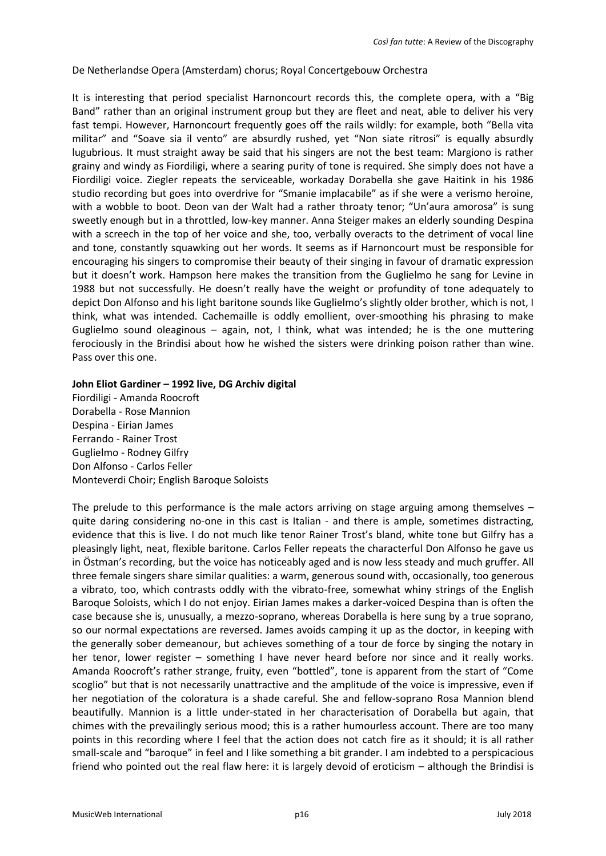De Netherlandse Opera (Amsterdam) chorus; Royal Concertgebouw Orchestra

It is interesting that period specialist Harnoncourt records this, the complete opera, with a "Big Band" rather than an original instrument group but they are fleet and neat, able to deliver his very fast tempi. However, Harnoncourt frequently goes off the rails wildly: for example, both "Bella vita militar" and "Soave sia il vento" are absurdly rushed, yet "Non siate ritrosi" is equally absurdly lugubrious. It must straight away be said that his singers are not the best team: Margiono is rather grainy and windy as Fiordiligi, where a searing purity of tone is required. She simply does not have a Fiordiligi voice. Ziegler repeats the serviceable, workaday Dorabella she gave Haitink in his 1986 studio recording but goes into overdrive for "Smanie implacabile" as if she were a verismo heroine, with a wobble to boot. Deon van der Walt had a rather throaty tenor; "Un'aura amorosa" is sung sweetly enough but in a throttled, low-key manner. Anna Steiger makes an elderly sounding Despina with a screech in the top of her voice and she, too, verbally overacts to the detriment of vocal line and tone, constantly squawking out her words. It seems as if Harnoncourt must be responsible for encouraging his singers to compromise their beauty of their singing in favour of dramatic expression but it doesn't work. Hampson here makes the transition from the Guglielmo he sang for Levine in 1988 but not successfully. He doesn't really have the weight or profundity of tone adequately to depict Don Alfonso and his light baritone sounds like Guglielmo's slightly older brother, which is not, I think, what was intended. Cachemaille is oddly emollient, over-smoothing his phrasing to make Guglielmo sound oleaginous – again, not, I think, what was intended; he is the one muttering ferociously in the Brindisi about how he wished the sisters were drinking poison rather than wine. Pass over this one.

## **John Eliot Gardiner – 1992 live, DG Archiv digital**

Fiordiligi - Amanda Roocroft Dorabella - Rose Mannion Despina - Eirian James Ferrando - Rainer Trost Guglielmo - Rodney Gilfry Don Alfonso - Carlos Feller Monteverdi Choir; English Baroque Soloists

The prelude to this performance is the male actors arriving on stage arguing among themselves  $$ quite daring considering no-one in this cast is Italian - and there is ample, sometimes distracting, evidence that this is live. I do not much like tenor Rainer Trost's bland, white tone but Gilfry has a pleasingly light, neat, flexible baritone. Carlos Feller repeats the characterful Don Alfonso he gave us in Östman's recording, but the voice has noticeably aged and is now less steady and much gruffer. All three female singers share similar qualities: a warm, generous sound with, occasionally, too generous a vibrato, too, which contrasts oddly with the vibrato-free, somewhat whiny strings of the English Baroque Soloists, which I do not enjoy. Eirian James makes a darker-voiced Despina than is often the case because she is, unusually, a mezzo-soprano, whereas Dorabella is here sung by a true soprano, so our normal expectations are reversed. James avoids camping it up as the doctor, in keeping with the generally sober demeanour, but achieves something of a tour de force by singing the notary in her tenor, lower register – something I have never heard before nor since and it really works. Amanda Roocroft's rather strange, fruity, even "bottled", tone is apparent from the start of "Come scoglio" but that is not necessarily unattractive and the amplitude of the voice is impressive, even if her negotiation of the coloratura is a shade careful. She and fellow-soprano Rosa Mannion blend beautifully. Mannion is a little under-stated in her characterisation of Dorabella but again, that chimes with the prevailingly serious mood; this is a rather humourless account. There are too many points in this recording where I feel that the action does not catch fire as it should; it is all rather small-scale and "baroque" in feel and I like something a bit grander. I am indebted to a perspicacious friend who pointed out the real flaw here: it is largely devoid of eroticism – although the Brindisi is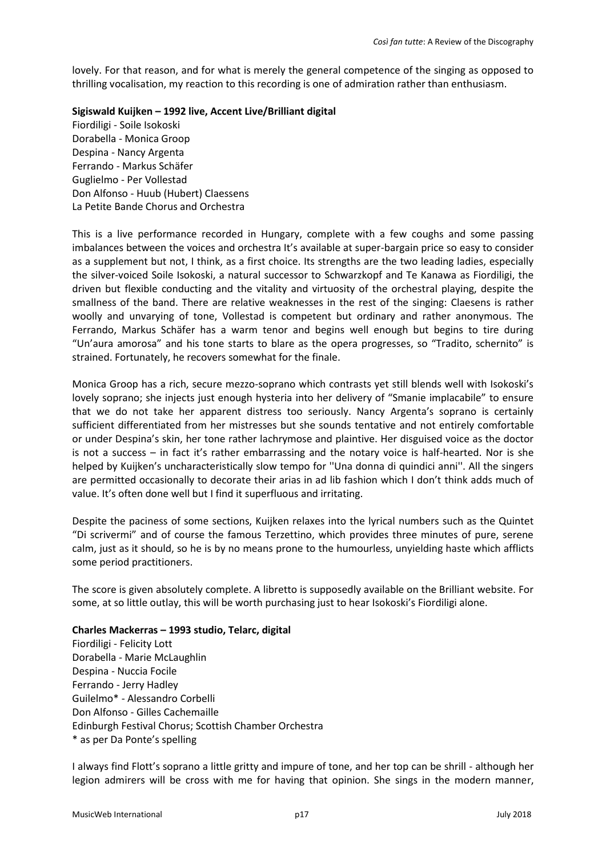lovely. For that reason, and for what is merely the general competence of the singing as opposed to thrilling vocalisation, my reaction to this recording is one of admiration rather than enthusiasm.

## **Sigiswald Kuijken – 1992 live, Accent Live/Brilliant digital**

Fiordiligi - Soile Isokoski Dorabella - Monica Groop Despina - Nancy Argenta Ferrando - Markus Schäfer Guglielmo - Per Vollestad Don Alfonso - Huub (Hubert) Claessens La Petite Bande Chorus and Orchestra

This is a live performance recorded in Hungary, complete with a few coughs and some passing imbalances between the voices and orchestra It's available at super-bargain price so easy to consider as a supplement but not, I think, as a first choice. Its strengths are the two leading ladies, especially the silver-voiced Soile Isokoski, a natural successor to Schwarzkopf and Te Kanawa as Fiordiligi, the driven but flexible conducting and the vitality and virtuosity of the orchestral playing, despite the smallness of the band. There are relative weaknesses in the rest of the singing: Claesens is rather woolly and unvarying of tone, Vollestad is competent but ordinary and rather anonymous. The Ferrando, Markus Schäfer has a warm tenor and begins well enough but begins to tire during "Un'aura amorosa" and his tone starts to blare as the opera progresses, so "Tradito, schernito" is strained. Fortunately, he recovers somewhat for the finale.

Monica Groop has a rich, secure mezzo-soprano which contrasts yet still blends well with Isokoski's lovely soprano; she injects just enough hysteria into her delivery of "Smanie implacabile" to ensure that we do not take her apparent distress too seriously. Nancy Argenta's soprano is certainly sufficient differentiated from her mistresses but she sounds tentative and not entirely comfortable or under Despina's skin, her tone rather lachrymose and plaintive. Her disguised voice as the doctor is not a success – in fact it's rather embarrassing and the notary voice is half-hearted. Nor is she helped by Kuijken's uncharacteristically slow tempo for ''Una donna di quindici anni''. All the singers are permitted occasionally to decorate their arias in ad lib fashion which I don't think adds much of value. It's often done well but I find it superfluous and irritating.

Despite the paciness of some sections, Kuijken relaxes into the lyrical numbers such as the Quintet "Di scrivermi" and of course the famous Terzettino, which provides three minutes of pure, serene calm, just as it should, so he is by no means prone to the humourless, unyielding haste which afflicts some period practitioners.

The score is given absolutely complete. A libretto is supposedly available on the Brilliant website. For some, at so little outlay, this will be worth purchasing just to hear Isokoski's Fiordiligi alone.

# **Charles Mackerras – 1993 studio, Telarc, digital**

Fiordiligi - Felicity Lott Dorabella - Marie McLaughlin Despina - Nuccia Focile Ferrando - Jerry Hadley Guilelmo\* - Alessandro Corbelli Don Alfonso - Gilles Cachemaille Edinburgh Festival Chorus; Scottish Chamber Orchestra \* as per Da Ponte's spelling

I always find Flott's soprano a little gritty and impure of tone, and her top can be shrill - although her legion admirers will be cross with me for having that opinion. She sings in the modern manner,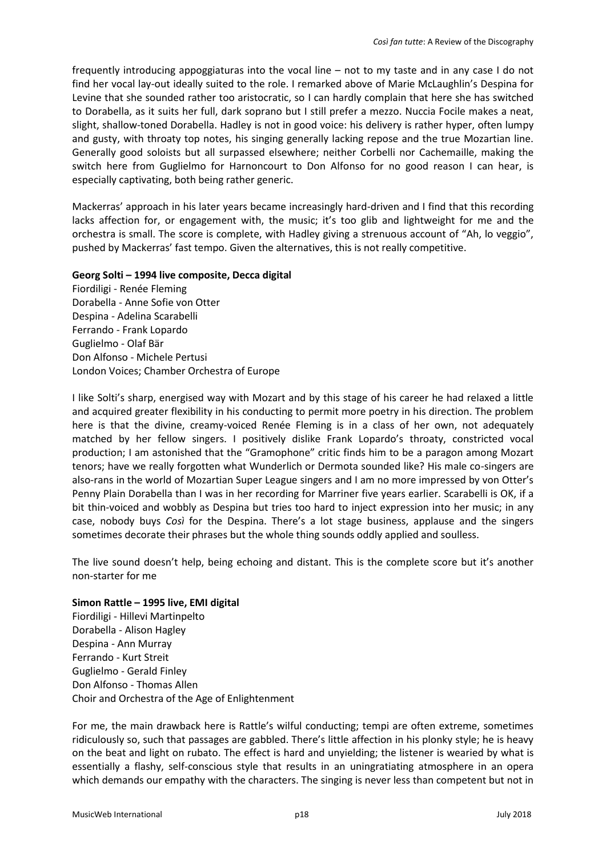frequently introducing appoggiaturas into the vocal line – not to my taste and in any case I do not find her vocal lay-out ideally suited to the role. I remarked above of Marie McLaughlin's Despina for Levine that she sounded rather too aristocratic, so I can hardly complain that here she has switched to Dorabella, as it suits her full, dark soprano but I still prefer a mezzo. Nuccia Focile makes a neat, slight, shallow-toned Dorabella. Hadley is not in good voice: his delivery is rather hyper, often lumpy and gusty, with throaty top notes, his singing generally lacking repose and the true Mozartian line. Generally good soloists but all surpassed elsewhere; neither Corbelli nor Cachemaille, making the switch here from Guglielmo for Harnoncourt to Don Alfonso for no good reason I can hear, is especially captivating, both being rather generic.

Mackerras' approach in his later years became increasingly hard-driven and I find that this recording lacks affection for, or engagement with, the music; it's too glib and lightweight for me and the orchestra is small. The score is complete, with Hadley giving a strenuous account of "Ah, lo veggio", pushed by Mackerras' fast tempo. Given the alternatives, this is not really competitive.

## **Georg Solti – 1994 live composite, Decca digital**

Fiordiligi - Renée Fleming Dorabella - Anne Sofie von Otter Despina - Adelina Scarabelli Ferrando - Frank Lopardo Guglielmo - Olaf Bär Don Alfonso - Michele Pertusi London Voices; Chamber Orchestra of Europe

I like Solti's sharp, energised way with Mozart and by this stage of his career he had relaxed a little and acquired greater flexibility in his conducting to permit more poetry in his direction. The problem here is that the divine, creamy-voiced Renée Fleming is in a class of her own, not adequately matched by her fellow singers. I positively dislike Frank Lopardo's throaty, constricted vocal production; I am astonished that the "Gramophone" critic finds him to be a paragon among Mozart tenors; have we really forgotten what Wunderlich or Dermota sounded like? His male co-singers are also-rans in the world of Mozartian Super League singers and I am no more impressed by von Otter's Penny Plain Dorabella than I was in her recording for Marriner five years earlier. Scarabelli is OK, if a bit thin-voiced and wobbly as Despina but tries too hard to inject expression into her music; in any case, nobody buys *Così* for the Despina. There's a lot stage business, applause and the singers sometimes decorate their phrases but the whole thing sounds oddly applied and soulless.

The live sound doesn't help, being echoing and distant. This is the complete score but it's another non-starter for me

**Simon Rattle – 1995 live, EMI digital**  Fiordiligi - Hillevi Martinpelto Dorabella - Alison Hagley Despina - Ann Murray Ferrando - Kurt Streit Guglielmo - Gerald Finley Don Alfonso - Thomas Allen Choir and Orchestra of the Age of Enlightenment

For me, the main drawback here is Rattle's wilful conducting; tempi are often extreme, sometimes ridiculously so, such that passages are gabbled. There's little affection in his plonky style; he is heavy on the beat and light on rubato. The effect is hard and unyielding; the listener is wearied by what is essentially a flashy, self-conscious style that results in an uningratiating atmosphere in an opera which demands our empathy with the characters. The singing is never less than competent but not in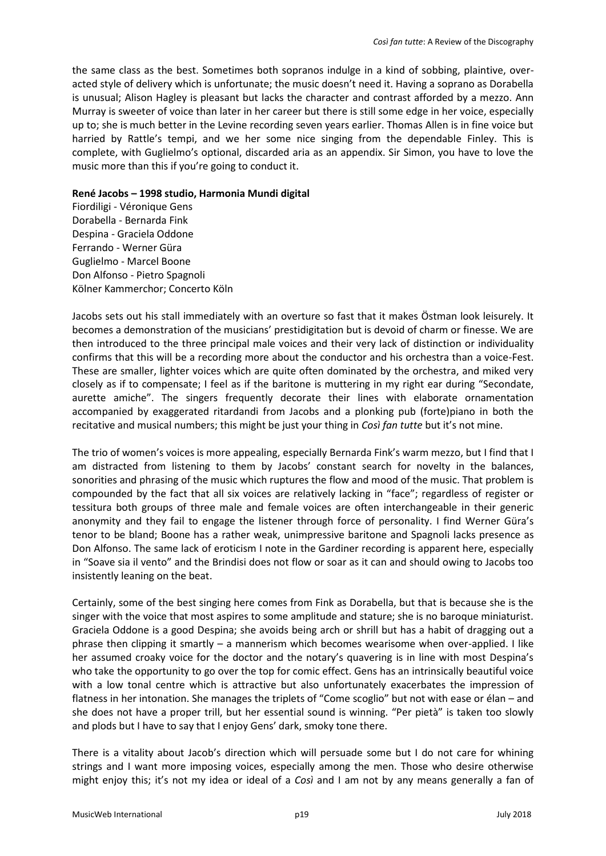the same class as the best. Sometimes both sopranos indulge in a kind of sobbing, plaintive, overacted style of delivery which is unfortunate; the music doesn't need it. Having a soprano as Dorabella is unusual; Alison Hagley is pleasant but lacks the character and contrast afforded by a mezzo. Ann Murray is sweeter of voice than later in her career but there is still some edge in her voice, especially up to; she is much better in the Levine recording seven years earlier. Thomas Allen is in fine voice but harried by Rattle's tempi, and we her some nice singing from the dependable Finley. This is complete, with Guglielmo's optional, discarded aria as an appendix. Sir Simon, you have to love the music more than this if you're going to conduct it.

#### **René Jacobs – 1998 studio, Harmonia Mundi digital**

Fiordiligi - Véronique Gens Dorabella - Bernarda Fink Despina - Graciela Oddone Ferrando - Werner Güra Guglielmo - Marcel Boone Don Alfonso - Pietro Spagnoli Kölner Kammerchor; Concerto Köln

Jacobs sets out his stall immediately with an overture so fast that it makes Östman look leisurely. It becomes a demonstration of the musicians' prestidigitation but is devoid of charm or finesse. We are then introduced to the three principal male voices and their very lack of distinction or individuality confirms that this will be a recording more about the conductor and his orchestra than a voice-Fest. These are smaller, lighter voices which are quite often dominated by the orchestra, and miked very closely as if to compensate; I feel as if the baritone is muttering in my right ear during "Secondate, aurette amiche". The singers frequently decorate their lines with elaborate ornamentation accompanied by exaggerated ritardandi from Jacobs and a plonking pub (forte)piano in both the recitative and musical numbers; this might be just your thing in *Così fan tutte* but it's not mine.

The trio of women's voices is more appealing, especially Bernarda Fink's warm mezzo, but I find that I am distracted from listening to them by Jacobs' constant search for novelty in the balances, sonorities and phrasing of the music which ruptures the flow and mood of the music. That problem is compounded by the fact that all six voices are relatively lacking in "face"; regardless of register or tessitura both groups of three male and female voices are often interchangeable in their generic anonymity and they fail to engage the listener through force of personality. I find Werner Güra's tenor to be bland; Boone has a rather weak, unimpressive baritone and Spagnoli lacks presence as Don Alfonso. The same lack of eroticism I note in the Gardiner recording is apparent here, especially in "Soave sia il vento" and the Brindisi does not flow or soar as it can and should owing to Jacobs too insistently leaning on the beat.

Certainly, some of the best singing here comes from Fink as Dorabella, but that is because she is the singer with the voice that most aspires to some amplitude and stature; she is no baroque miniaturist. Graciela Oddone is a good Despina; she avoids being arch or shrill but has a habit of dragging out a phrase then clipping it smartly – a mannerism which becomes wearisome when over-applied. I like her assumed croaky voice for the doctor and the notary's quavering is in line with most Despina's who take the opportunity to go over the top for comic effect. Gens has an intrinsically beautiful voice with a low tonal centre which is attractive but also unfortunately exacerbates the impression of flatness in her intonation. She manages the triplets of "Come scoglio" but not with ease or élan – and she does not have a proper trill, but her essential sound is winning. "Per pietà" is taken too slowly and plods but I have to say that I enjoy Gens' dark, smoky tone there.

There is a vitality about Jacob's direction which will persuade some but I do not care for whining strings and I want more imposing voices, especially among the men. Those who desire otherwise might enjoy this; it's not my idea or ideal of a *Così* and I am not by any means generally a fan of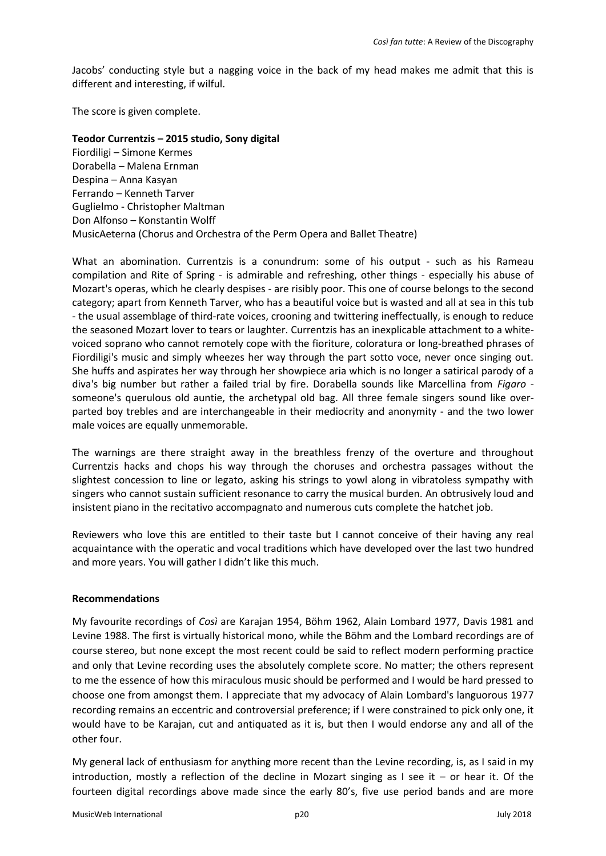Jacobs' conducting style but a nagging voice in the back of my head makes me admit that this is different and interesting, if wilful.

The score is given complete.

**Teodor Currentzis – 2015 studio, Sony digital** Fiordiligi – Simone Kermes Dorabella – Malena Ernman Despina – Anna Kasyan Ferrando – Kenneth Tarver Guglielmo - Christopher Maltman Don Alfonso – Konstantin Wolff MusicAeterna (Chorus and Orchestra of the Perm Opera and Ballet Theatre)

What an abomination. Currentzis is a conundrum: some of his output - such as his Rameau compilation and Rite of Spring - is admirable and refreshing, other things - especially his abuse of Mozart's operas, which he clearly despises - are risibly poor. This one of course belongs to the second category; apart from Kenneth Tarver, who has a beautiful voice but is wasted and all at sea in this tub - the usual assemblage of third-rate voices, crooning and twittering ineffectually, is enough to reduce the seasoned Mozart lover to tears or laughter. Currentzis has an inexplicable attachment to a whitevoiced soprano who cannot remotely cope with the fioriture, coloratura or long-breathed phrases of Fiordiligi's music and simply wheezes her way through the part sotto voce, never once singing out. She huffs and aspirates her way through her showpiece aria which is no longer a satirical parody of a diva's big number but rather a failed trial by fire. Dorabella sounds like Marcellina from *Figaro* someone's querulous old auntie, the archetypal old bag. All three female singers sound like overparted boy trebles and are interchangeable in their mediocrity and anonymity - and the two lower male voices are equally unmemorable.

The warnings are there straight away in the breathless frenzy of the overture and throughout Currentzis hacks and chops his way through the choruses and orchestra passages without the slightest concession to line or legato, asking his strings to yowl along in vibratoless sympathy with singers who cannot sustain sufficient resonance to carry the musical burden. An obtrusively loud and insistent piano in the recitativo accompagnato and numerous cuts complete the hatchet job.

Reviewers who love this are entitled to their taste but I cannot conceive of their having any real acquaintance with the operatic and vocal traditions which have developed over the last two hundred and more years. You will gather I didn't like this much.

## **Recommendations**

My favourite recordings of *Così* are Karajan 1954, Böhm 1962, Alain Lombard 1977, Davis 1981 and Levine 1988. The first is virtually historical mono, while the Böhm and the Lombard recordings are of course stereo, but none except the most recent could be said to reflect modern performing practice and only that Levine recording uses the absolutely complete score. No matter; the others represent to me the essence of how this miraculous music should be performed and I would be hard pressed to choose one from amongst them. I appreciate that my advocacy of Alain Lombard's languorous 1977 recording remains an eccentric and controversial preference; if I were constrained to pick only one, it would have to be Karajan, cut and antiquated as it is, but then I would endorse any and all of the other four.

My general lack of enthusiasm for anything more recent than the Levine recording, is, as I said in my introduction, mostly a reflection of the decline in Mozart singing as I see it – or hear it. Of the fourteen digital recordings above made since the early 80's, five use period bands and are more